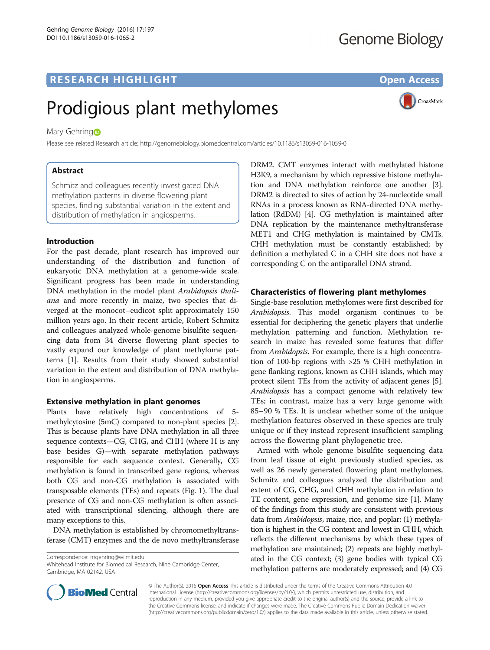### **RESEARCH HIGHLIGHT** THE OPEN ACCESS OPEN ACCESS

### **Genome Biology**

# CrossMark

## Prodigious plant methylomes

Mary Gehring<sup>®</sup>

Please see related Research article:<http://genomebiology.biomedcentral.com/articles/10.1186/s13059-016-1059-0>

#### Abstract

Schmitz and colleagues recently investigated DNA methylation patterns in diverse flowering plant species, finding substantial variation in the extent and distribution of methylation in angiosperms.

#### Introduction

For the past decade, plant research has improved our understanding of the distribution and function of eukaryotic DNA methylation at a genome-wide scale. Significant progress has been made in understanding DNA methylation in the model plant Arabidopsis thaliana and more recently in maize, two species that diverged at the monocot–eudicot split approximately 150 million years ago. In their recent article, Robert Schmitz and colleagues analyzed whole-genome bisulfite sequencing data from 34 diverse flowering plant species to vastly expand our knowledge of plant methylome patterns [\[1](#page-1-0)]. Results from their study showed substantial variation in the extent and distribution of DNA methylation in angiosperms.

#### Extensive methylation in plant genomes

Plants have relatively high concentrations of 5 methylcytosine (5mC) compared to non-plant species [[2](#page-1-0)]. This is because plants have DNA methylation in all three sequence contexts—CG, CHG, and CHH (where H is any base besides G)—with separate methylation pathways responsible for each sequence context. Generally, CG methylation is found in transcribed gene regions, whereas both CG and non-CG methylation is associated with transposable elements (TEs) and repeats (Fig. [1](#page-1-0)). The dual presence of CG and non-CG methylation is often associated with transcriptional silencing, although there are many exceptions to this.

DNA methylation is established by chromomethyltransferase (CMT) enzymes and the de novo methyltransferase

Correspondence: [mgehring@wi.mit.edu](mailto:mgehring@wi.mit.edu)

Whitehead Institute for Biomedical Research, Nine Cambridge Center, Cambridge, MA 02142, USA

DRM2. CMT enzymes interact with methylated histone H3K9, a mechanism by which repressive histone methylation and DNA methylation reinforce one another [[3](#page-2-0)]. DRM2 is directed to sites of action by 24-nucleotide small RNAs in a process known as RNA-directed DNA methylation (RdDM) [[4](#page-2-0)]. CG methylation is maintained after DNA replication by the maintenance methyltransferase MET1 and CHG methylation is maintained by CMTs. CHH methylation must be constantly established; by definition a methylated C in a CHH site does not have a corresponding C on the antiparallel DNA strand.

#### Characteristics of flowering plant methylomes

Single-base resolution methylomes were first described for Arabidopsis. This model organism continues to be essential for deciphering the genetic players that underlie methylation patterning and function. Methylation research in maize has revealed some features that differ from Arabidopsis. For example, there is a high concentration of 100-bp regions with >25 % CHH methylation in gene flanking regions, known as CHH islands, which may protect silent TEs from the activity of adjacent genes [[5](#page-2-0)]. Arabidopsis has a compact genome with relatively few TEs; in contrast, maize has a very large genome with 85–90 % TEs. It is unclear whether some of the unique methylation features observed in these species are truly unique or if they instead represent insufficient sampling across the flowering plant phylogenetic tree.

Armed with whole genome bisulfite sequencing data from leaf tissue of eight previously studied species, as well as 26 newly generated flowering plant methylomes, Schmitz and colleagues analyzed the distribution and extent of CG, CHG, and CHH methylation in relation to TE content, gene expression, and genome size [\[1](#page-1-0)]. Many of the findings from this study are consistent with previous data from Arabidopsis, maize, rice, and poplar: (1) methylation is highest in the CG context and lowest in CHH, which reflects the different mechanisms by which these types of methylation are maintained; (2) repeats are highly methylated in the CG context; (3) gene bodies with typical CG methylation patterns are moderately expressed; and (4) CG



© The Author(s). 2016 Open Access This article is distributed under the terms of the Creative Commons Attribution 4.0 International License [\(http://creativecommons.org/licenses/by/4.0/](http://creativecommons.org/licenses/by/4.0/)), which permits unrestricted use, distribution, and reproduction in any medium, provided you give appropriate credit to the original author(s) and the source, provide a link to the Creative Commons license, and indicate if changes were made. The Creative Commons Public Domain Dedication waiver [\(http://creativecommons.org/publicdomain/zero/1.0/](http://creativecommons.org/publicdomain/zero/1.0/)) applies to the data made available in this article, unless otherwise stated.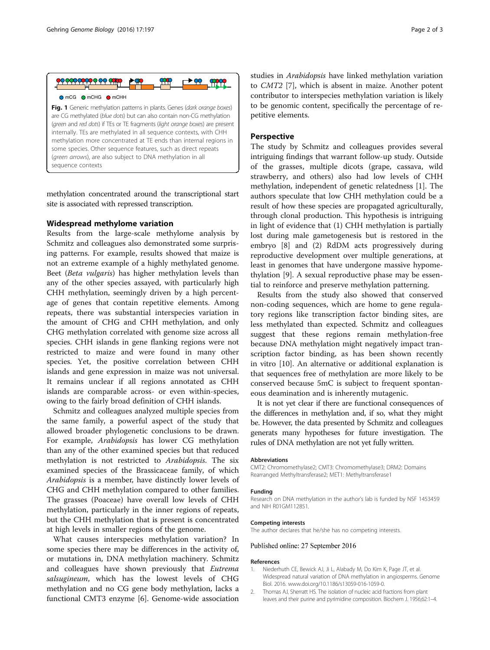<span id="page-1-0"></span>

methylation concentrated around the transcriptional start site is associated with repressed transcription.

#### Widespread methylome variation

Results from the large-scale methylome analysis by Schmitz and colleagues also demonstrated some surprising patterns. For example, results showed that maize is not an extreme example of a highly methylated genome. Beet (Beta vulgaris) has higher methylation levels than any of the other species assayed, with particularly high CHH methylation, seemingly driven by a high percentage of genes that contain repetitive elements. Among repeats, there was substantial interspecies variation in the amount of CHG and CHH methylation, and only CHG methylation correlated with genome size across all species. CHH islands in gene flanking regions were not restricted to maize and were found in many other species. Yet, the positive correlation between CHH islands and gene expression in maize was not universal. It remains unclear if all regions annotated as CHH islands are comparable across- or even within-species, owing to the fairly broad definition of CHH islands.

Schmitz and colleagues analyzed multiple species from the same family, a powerful aspect of the study that allowed broader phylogenetic conclusions to be drawn. For example, Arabidopsis has lower CG methylation than any of the other examined species but that reduced methylation is not restricted to Arabidopsis. The six examined species of the Brassicaceae family, of which Arabidopsis is a member, have distinctly lower levels of CHG and CHH methylation compared to other families. The grasses (Poaceae) have overall low levels of CHH methylation, particularly in the inner regions of repeats, but the CHH methylation that is present is concentrated at high levels in smaller regions of the genome.

What causes interspecies methylation variation? In some species there may be differences in the activity of, or mutations in, DNA methylation machinery. Schmitz and colleagues have shown previously that *Eutrema* salsugineum, which has the lowest levels of CHG methylation and no CG gene body methylation, lacks a functional CMT3 enzyme [[6\]](#page-2-0). Genome-wide association studies in Arabidopsis have linked methylation variation to CMT2 [\[7](#page-2-0)], which is absent in maize. Another potent contributor to interspecies methylation variation is likely to be genomic content, specifically the percentage of repetitive elements.

#### **Perspective**

The study by Schmitz and colleagues provides several intriguing findings that warrant follow-up study. Outside of the grasses, multiple dicots (grape, cassava, wild strawberry, and others) also had low levels of CHH methylation, independent of genetic relatedness [1]. The authors speculate that low CHH methylation could be a result of how these species are propagated agriculturally, through clonal production. This hypothesis is intriguing in light of evidence that (1) CHH methylation is partially lost during male gametogenesis but is restored in the embryo [[8\]](#page-2-0) and (2) RdDM acts progressively during reproductive development over multiple generations, at least in genomes that have undergone massive hypomethylation [\[9](#page-2-0)]. A sexual reproductive phase may be essential to reinforce and preserve methylation patterning.

Results from the study also showed that conserved non-coding sequences, which are home to gene regulatory regions like transcription factor binding sites, are less methylated than expected. Schmitz and colleagues suggest that these regions remain methylation-free because DNA methylation might negatively impact transcription factor binding, as has been shown recently in vitro [\[10](#page-2-0)]. An alternative or additional explanation is that sequences free of methylation are more likely to be conserved because 5mC is subject to frequent spontaneous deamination and is inherently mutagenic.

It is not yet clear if there are functional consequences of the differences in methylation and, if so, what they might be. However, the data presented by Schmitz and colleagues generats many hypotheses for future investigation. The rules of DNA methylation are not yet fully written.

#### Abbreviations

CMT2: Chromomethylase2; CMT3: Chromomethylase3; DRM2: Domains Rearranged Methyltransferase2; MET1: Methyltransferase1

#### Funding

Research on DNA methylation in the author's lab is funded by NSF 1453459 and NIH R01GM112851.

#### Competing interests

The author declares that he/she has no competing interests.

#### Published online: 27 September 2016

#### References

- 1. Niederhuth CE, Bewick AJ, Ji L, Alabady M, Do Kim K, Page JT, et al. Widespread natural variation of DNA methylation in angiosperms. Genome Biol. 2016. [www.doi.org/10.1186/s13059-016-1059-0.](http://www.doi.org/10.1186/s13059-016-1059-0)
- 2. Thomas AJ, Sherratt HS. The isolation of nucleic acid fractions from plant leaves and their purine and pyrimidine composition. Biochem J. 1956;62:1–4.